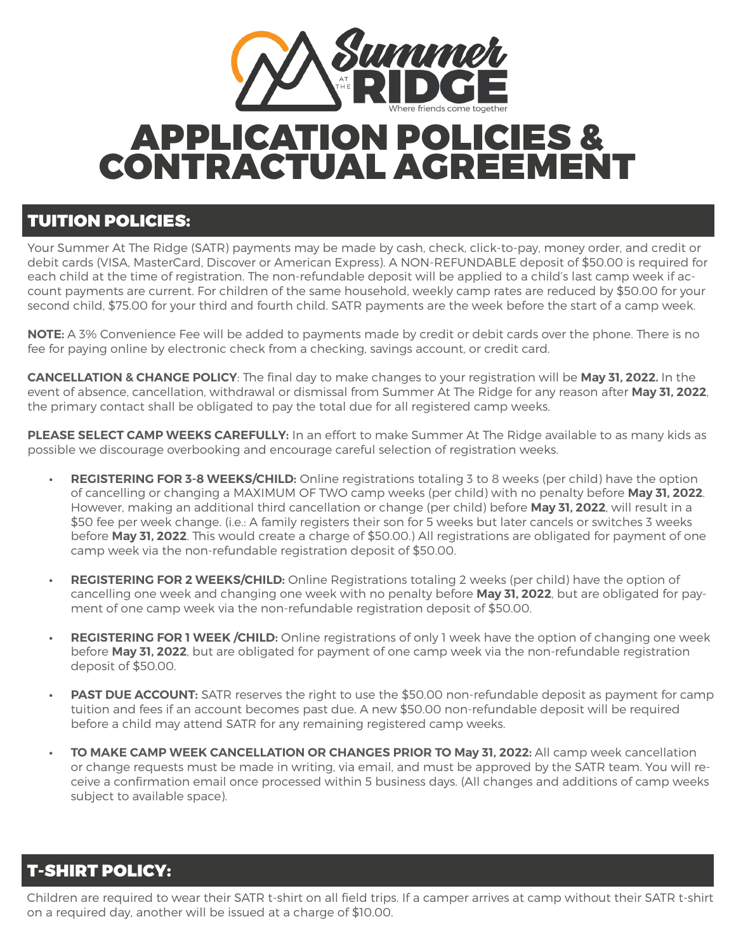

# APPLICATION POLICIES & CONTRACTUAL AGREEMENT

#### TUITION POLICIES:

Your Summer At The Ridge (SATR) payments may be made by cash, check, click-to-pay, money order, and credit or debit cards (VISA, MasterCard, Discover or American Express). A NON-REFUNDABLE deposit of \$50.00 is required for each child at the time of registration. The non-refundable deposit will be applied to a child's last camp week if account payments are current. For children of the same household, weekly camp rates are reduced by \$50.00 for your second child, \$75.00 for your third and fourth child. SATR payments are the week before the start of a camp week.

**NOTE:** A 3% Convenience Fee will be added to payments made by credit or debit cards over the phone. There is no fee for paying online by electronic check from a checking, savings account, or credit card.

**CANCELLATION & CHANGE POLICY**: The final day to make changes to your registration will be **May 31, 2022.** In the event of absence, cancellation, withdrawal or dismissal from Summer At The Ridge for any reason after **May 31, 2022**, the primary contact shall be obligated to pay the total due for all registered camp weeks.

**PLEASE SELECT CAMP WEEKS CAREFULLY:** In an effort to make Summer At The Ridge available to as many kids as possible we discourage overbooking and encourage careful selection of registration weeks.

- **• REGISTERING FOR 3-8 WEEKS/CHILD:** Online registrations totaling 3 to 8 weeks (per child) have the option of cancelling or changing a MAXIMUM OF TWO camp weeks (per child) with no penalty before **May 31, 2022**. However, making an additional third cancellation or change (per child) before **May 31, 2022**, will result in a \$50 fee per week change. (i.e.: A family registers their son for 5 weeks but later cancels or switches 3 weeks before **May 31, 2022**. This would create a charge of \$50.00.) All registrations are obligated for payment of one camp week via the non-refundable registration deposit of \$50.00.
- **• REGISTERING FOR 2 WEEKS/CHILD:** Online Registrations totaling 2 weeks (per child) have the option of cancelling one week and changing one week with no penalty before **May 31, 2022**, but are obligated for payment of one camp week via the non-refundable registration deposit of \$50.00.
- **• REGISTERING FOR 1 WEEK /CHILD:** Online registrations of only 1 week have the option of changing one week before **May 31, 2022**, but are obligated for payment of one camp week via the non-refundable registration deposit of \$50.00.
- **• PAST DUE ACCOUNT:** SATR reserves the right to use the \$50.00 non-refundable deposit as payment for camp tuition and fees if an account becomes past due. A new \$50.00 non-refundable deposit will be required before a child may attend SATR for any remaining registered camp weeks.
- **• TO MAKE CAMP WEEK CANCELLATION OR CHANGES PRIOR TO May 31, 2022:** All camp week cancellation or change requests must be made in writing, via email, and must be approved by the SATR team. You will receive a confirmation email once processed within 5 business days. (All changes and additions of camp weeks subject to available space).

### T-SHIRT POLICY:

Children are required to wear their SATR t-shirt on all field trips. If a camper arrives at camp without their SATR t-shirt on a required day, another will be issued at a charge of \$10.00.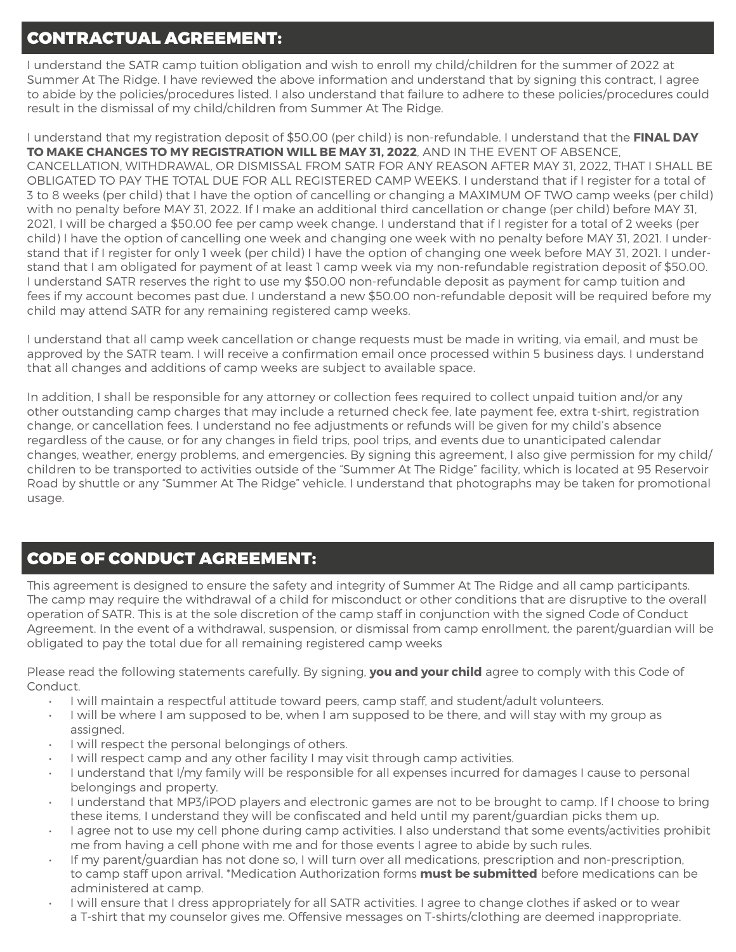# CONTRACTUAL AGREEMENT:

I understand the SATR camp tuition obligation and wish to enroll my child/children for the summer of 2022 at Summer At The Ridge. I have reviewed the above information and understand that by signing this contract, I agree to abide by the policies/procedures listed. I also understand that failure to adhere to these policies/procedures could result in the dismissal of my child/children from Summer At The Ridge.

I understand that my registration deposit of \$50.00 (per child) is non-refundable. I understand that the **FINAL DAY TO MAKE CHANGES TO MY REGISTRATION WILL BE MAY 31, 2022**, AND IN THE EVENT OF ABSENCE, CANCELLATION, WITHDRAWAL, OR DISMISSAL FROM SATR FOR ANY REASON AFTER MAY 31, 2022, THAT I SHALL BE OBLIGATED TO PAY THE TOTAL DUE FOR ALL REGISTERED CAMP WEEKS. I understand that if I register for a total of 3 to 8 weeks (per child) that I have the option of cancelling or changing a MAXIMUM OF TWO camp weeks (per child) with no penalty before MAY 31, 2022. If I make an additional third cancellation or change (per child) before MAY 31, 2021, I will be charged a \$50.00 fee per camp week change. I understand that if I register for a total of 2 weeks (per child) I have the option of cancelling one week and changing one week with no penalty before MAY 31, 2021. I understand that if I register for only 1 week (per child) I have the option of changing one week before MAY 31, 2021. I understand that I am obligated for payment of at least 1 camp week via my non-refundable registration deposit of \$50.00. I understand SATR reserves the right to use my \$50.00 non-refundable deposit as payment for camp tuition and fees if my account becomes past due. I understand a new \$50.00 non-refundable deposit will be required before my child may attend SATR for any remaining registered camp weeks.

I understand that all camp week cancellation or change requests must be made in writing, via email, and must be approved by the SATR team. I will receive a confirmation email once processed within 5 business days. I understand that all changes and additions of camp weeks are subject to available space.

In addition, I shall be responsible for any attorney or collection fees required to collect unpaid tuition and/or any other outstanding camp charges that may include a returned check fee, late payment fee, extra t-shirt, registration change, or cancellation fees. I understand no fee adjustments or refunds will be given for my child's absence regardless of the cause, or for any changes in field trips, pool trips, and events due to unanticipated calendar changes, weather, energy problems, and emergencies. By signing this agreement, I also give permission for my child/ children to be transported to activities outside of the "Summer At The Ridge" facility, which is located at 95 Reservoir Road by shuttle or any "Summer At The Ridge" vehicle. I understand that photographs may be taken for promotional usage.

### CODE OF CONDUCT AGREEMENT:

This agreement is designed to ensure the safety and integrity of Summer At The Ridge and all camp participants. The camp may require the withdrawal of a child for misconduct or other conditions that are disruptive to the overall operation of SATR. This is at the sole discretion of the camp staff in conjunction with the signed Code of Conduct Agreement. In the event of a withdrawal, suspension, or dismissal from camp enrollment, the parent/guardian will be obligated to pay the total due for all remaining registered camp weeks

Please read the following statements carefully. By signing, **you and your child** agree to comply with this Code of Conduct.

- I will maintain a respectful attitude toward peers, camp staff, and student/adult volunteers.
- I will be where I am supposed to be, when I am supposed to be there, and will stay with my group as assigned.
- I will respect the personal belongings of others.
- I will respect camp and any other facility I may visit through camp activities.
- I understand that I/my family will be responsible for all expenses incurred for damages I cause to personal belongings and property.
- I understand that MP3/iPOD players and electronic games are not to be brought to camp. If I choose to bring these items, I understand they will be confiscated and held until my parent/guardian picks them up.
- I agree not to use my cell phone during camp activities. I also understand that some events/activities prohibit me from having a cell phone with me and for those events I agree to abide by such rules.
- If my parent/guardian has not done so, I will turn over all medications, prescription and non-prescription, to camp staff upon arrival. \*Medication Authorization forms **must be submitted** before medications can be administered at camp.
- I will ensure that I dress appropriately for all SATR activities. I agree to change clothes if asked or to wear a T-shirt that my counselor gives me. Offensive messages on T-shirts/clothing are deemed inappropriate.